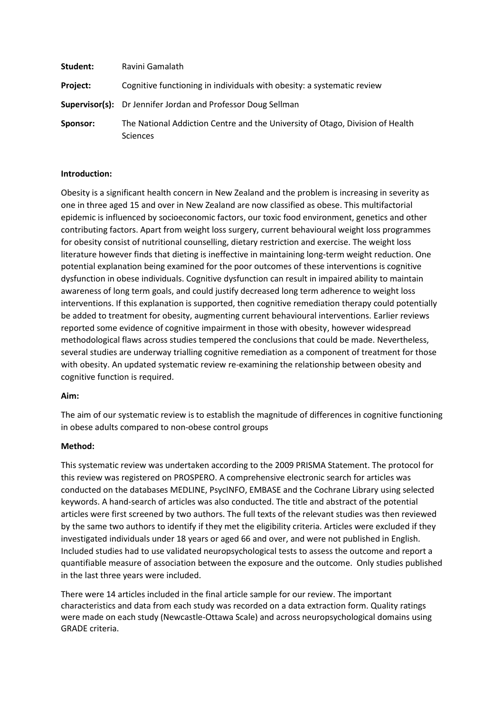| Student: | Ravini Gamalath                                                                                  |
|----------|--------------------------------------------------------------------------------------------------|
| Project: | Cognitive functioning in individuals with obesity: a systematic review                           |
|          | <b>Supervisor(s):</b> Dr Jennifer Jordan and Professor Doug Sellman                              |
| Sponsor: | The National Addiction Centre and the University of Otago, Division of Health<br><b>Sciences</b> |

### **Introduction:**

Obesity is a significant health concern in New Zealand and the problem is increasing in severity as one in three aged 15 and over in New Zealand are now classified as obese. This multifactorial epidemic is influenced by socioeconomic factors, our toxic food environment, genetics and other contributing factors. Apart from weight loss surgery, current behavioural weight loss programmes for obesity consist of nutritional counselling, dietary restriction and exercise. The weight loss literature however finds that dieting is ineffective in maintaining long-term weight reduction. One potential explanation being examined for the poor outcomes of these interventions is cognitive dysfunction in obese individuals. Cognitive dysfunction can result in impaired ability to maintain awareness of long term goals, and could justify decreased long term adherence to weight loss interventions. If this explanation is supported, then cognitive remediation therapy could potentially be added to treatment for obesity, augmenting current behavioural interventions. Earlier reviews reported some evidence of cognitive impairment in those with obesity, however widespread methodological flaws across studies tempered the conclusions that could be made. Nevertheless, several studies are underway trialling cognitive remediation as a component of treatment for those with obesity. An updated systematic review re-examining the relationship between obesity and cognitive function is required.

### **Aim:**

The aim of our systematic review is to establish the magnitude of differences in cognitive functioning in obese adults compared to non-obese control groups

### **Method:**

This systematic review was undertaken according to the 2009 PRISMA Statement. The protocol for this review was registered on PROSPERO. A comprehensive electronic search for articles was conducted on the databases MEDLINE, PsycINFO, EMBASE and the Cochrane Library using selected keywords. A hand-search of articles was also conducted. The title and abstract of the potential articles were first screened by two authors. The full texts of the relevant studies was then reviewed by the same two authors to identify if they met the eligibility criteria. Articles were excluded if they investigated individuals under 18 years or aged 66 and over, and were not published in English. Included studies had to use validated neuropsychological tests to assess the outcome and report a quantifiable measure of association between the exposure and the outcome. Only studies published in the last three years were included.

There were 14 articles included in the final article sample for our review. The important characteristics and data from each study was recorded on a data extraction form. Quality ratings were made on each study (Newcastle-Ottawa Scale) and across neuropsychological domains using GRADE criteria.